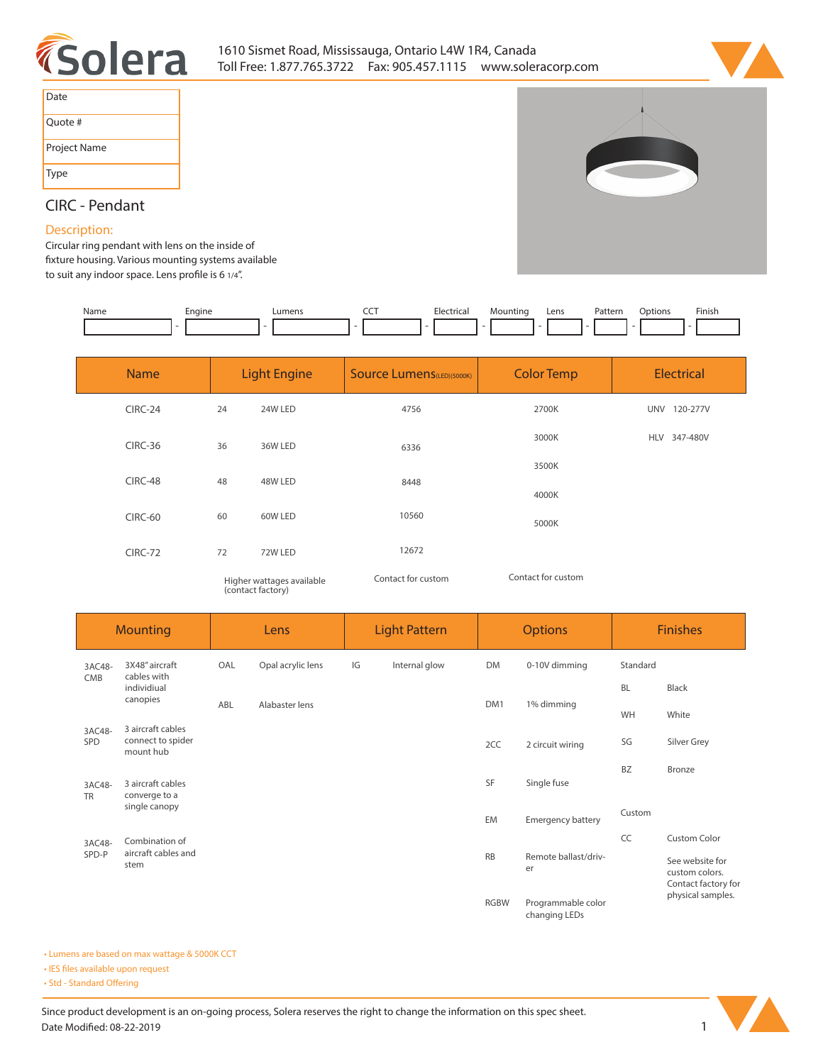



| Date         |
|--------------|
| Quote #      |
| Project Name |
| Type         |



# **CIRC - Pendant**

## **Description:**

**Circular ring pendant with lens on the inside of xture housing. Various mounting systems available**  to suit any indoor space. Lens profile is 6 1/4".

| Name | Engine<br>$\overline{\phantom{a}}$ | _umen | --- | . | vioununc | Lens | ÷^r<br>atter'<br>. | <b>Dotions</b> | Finisi. |
|------|------------------------------------|-------|-----|---|----------|------|--------------------|----------------|---------|
|      |                                    |       |     |   |          |      |                    |                |         |

| <b>Name</b> | <b>Light Engine</b>       |         | <b>Source Lumens (LED)(5000K)</b> | <b>Color Temp</b>  | <b>Electrical</b> |  |
|-------------|---------------------------|---------|-----------------------------------|--------------------|-------------------|--|
| $CIRC-24$   | 24                        | 24W LED | 4756                              | 2700K              | UNV 120-277V      |  |
| CIRC-36     | 36                        | 36W LED | 6336                              | 3000K              | HLV 347-480V      |  |
| CIRC-48     | 48                        | 48W LED | 8448                              | 3500K              |                   |  |
|             |                           |         |                                   | 4000K              |                   |  |
| CIRC-60     | 60                        | 60W LED | 10560                             | 5000K              |                   |  |
| CIRC-72     | 72                        | 72W LED | 12672                             |                    |                   |  |
|             | Higher wattages available |         | Contact for custom                | Contact for custom |                   |  |

*Higher wattages available (contact factory)*

| <b>Mounting</b>     |                                                                 | Lens |                   | <b>Light Pattern</b> |               | <b>Options</b> |                                     | <b>Finishes</b> |                                                          |
|---------------------|-----------------------------------------------------------------|------|-------------------|----------------------|---------------|----------------|-------------------------------------|-----------------|----------------------------------------------------------|
| 3AC48-              | 3X48" aircraft<br>cables with<br>CMB<br>individiual<br>canopies | OAL  | Opal acrylic lens | IG                   | Internal glow | <b>DM</b>      | 0-10V dimming                       | Standard        |                                                          |
|                     |                                                                 |      |                   | DM1                  |               |                |                                     | <b>BL</b>       | <b>Black</b>                                             |
|                     |                                                                 | ABL  | Alabaster lens    |                      | 1% dimming    | WH             | White                               |                 |                                                          |
| 3AC48-<br>SPD       | 3 aircraft cables<br>connect to spider<br>mount hub             |      |                   |                      |               | 2CC            | 2 circuit wiring                    | SG              | Silver Grey                                              |
| 3AC48-<br><b>TR</b> | 3 aircraft cables<br>converge to a                              |      |                   |                      |               | SF             | Single fuse                         | <b>BZ</b>       | Bronze                                                   |
|                     | single canopy                                                   |      |                   |                      |               | EM             | <b>Emergency battery</b>            | Custom          |                                                          |
| 3AC48-              | Combination of                                                  |      |                   |                      |               |                |                                     | CC              | <b>Custom Color</b>                                      |
|                     | aircraft cables and<br>SPD-P<br>stem                            |      |                   |                      |               | <b>RB</b>      | Remote ballast/driv-<br>er          |                 | See website for<br>custom colors.<br>Contact factory for |
|                     |                                                                 |      |                   |                      |               | <b>RGBW</b>    | Programmable color<br>changing LEDs |                 | physical samples.                                        |

**• Lumens are based on max wattage & 5000K CCT**

**• IES files available upon request** 

• Std - Standard Offering

Since product development is an on-going process, Solera reserves the right to change the information on this spec sheet. **Date Modified: 08-22-2019** 1